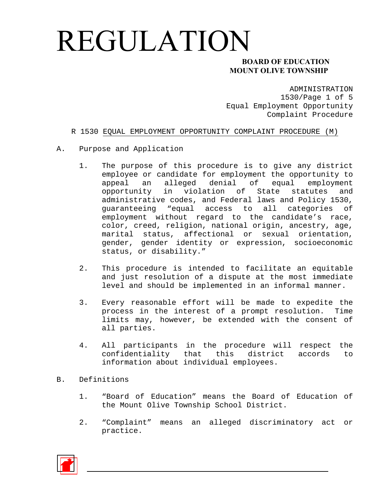### **MOUNT OLIVE TOWNSHIP**

ADMINISTRATION 1530/Page 1 of 5 Equal Employment Opportunity Complaint Procedure

#### R 1530 EQUAL EMPLOYMENT OPPORTUNITY COMPLAINT PROCEDURE (M)

- A. Purpose and Application
	- 1. The purpose of this procedure is to give any district employee or candidate for employment the opportunity to appeal an alleged denial of equal employment opportunity in violation of State statutes and administrative codes, and Federal laws and Policy 1530, guaranteeing "equal access to all categories of employment without regard to the candidate's race, color, creed, religion, national origin, ancestry, age, marital status, affectional or sexual orientation, gender, gender identity or expression, socioeconomic status, or disability."
	- 2. This procedure is intended to facilitate an equitable and just resolution of a dispute at the most immediate level and should be implemented in an informal manner.
	- 3. Every reasonable effort will be made to expedite the process in the interest of a prompt resolution. Time limits may, however, be extended with the consent of all parties.
	- 4. All participants in the procedure will respect the confidentiality that this district accords to information about individual employees.
- B. Definitions
	- 1. "Board of Education" means the Board of Education of the Mount Olive Township School District.
	- 2. "Complaint" means an alleged discriminatory act or practice.

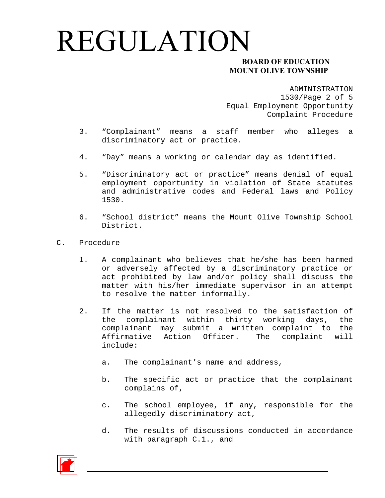### **MOUNT OLIVE TOWNSHIP**

ADMINISTRATION 1530/Page 2 of 5 Equal Employment Opportunity Complaint Procedure

- 3. "Complainant" means a staff member who alleges a discriminatory act or practice.
- 4. "Day" means a working or calendar day as identified.
- 5. "Discriminatory act or practice" means denial of equal employment opportunity in violation of State statutes and administrative codes and Federal laws and Policy 1530.
- 6. "School district" means the Mount Olive Township School District.
- C. Procedure
	- 1. A complainant who believes that he/she has been harmed or adversely affected by a discriminatory practice or act prohibited by law and/or policy shall discuss the matter with his/her immediate supervisor in an attempt to resolve the matter informally.
	- 2. If the matter is not resolved to the satisfaction of the complainant within thirty working days, the complainant may submit a written complaint to the Affirmative Action Officer. The complaint will include:
		- a. The complainant's name and address,
		- b. The specific act or practice that the complainant complains of,
		- c. The school employee, if any, responsible for the allegedly discriminatory act,
		- d. The results of discussions conducted in accordance with paragraph C.1., and

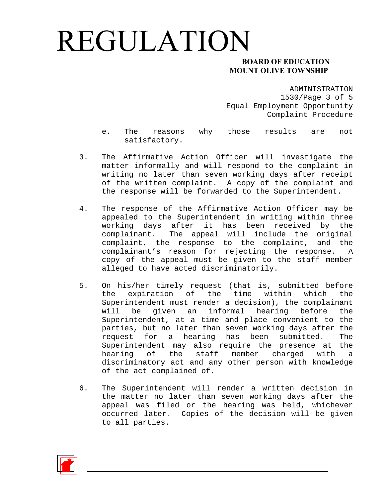### **MOUNT OLIVE TOWNSHIP**

ADMINISTRATION 1530/Page 3 of 5 Equal Employment Opportunity Complaint Procedure

- e. The reasons why those results are not satisfactory.
- 3. The Affirmative Action Officer will investigate the matter informally and will respond to the complaint in writing no later than seven working days after receipt of the written complaint. A copy of the complaint and the response will be forwarded to the Superintendent.
- 4. The response of the Affirmative Action Officer may be appealed to the Superintendent in writing within three working days after it has been received by the complainant. The appeal will include the original complaint, the response to the complaint, and the complainant's reason for rejecting the response. A copy of the appeal must be given to the staff member alleged to have acted discriminatorily.
- 5. On his/her timely request (that is, submitted before the expiration of the time within which the Superintendent must render a decision), the complainant will be given an informal hearing before the Superintendent, at a time and place convenient to the parties, but no later than seven working days after the request for a hearing has been submitted. The Superintendent may also require the presence at the hearing of the staff member charged with a discriminatory act and any other person with knowledge of the act complained of.
- 6. The Superintendent will render a written decision in the matter no later than seven working days after the appeal was filed or the hearing was held, whichever occurred later. Copies of the decision will be given to all parties.

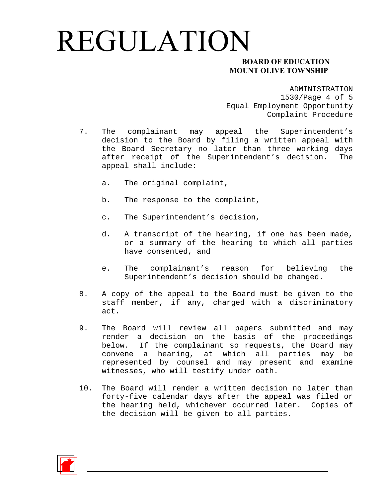### **MOUNT OLIVE TOWNSHIP**

ADMINISTRATION 1530/Page 4 of 5 Equal Employment Opportunity Complaint Procedure

- 7. The complainant may appeal the Superintendent's decision to the Board by filing a written appeal with the Board Secretary no later than three working days after receipt of the Superintendent's decision. The appeal shall include:
	- a. The original complaint,
	- b. The response to the complaint,
	- c. The Superintendent's decision,
	- d. A transcript of the hearing, if one has been made, or a summary of the hearing to which all parties have consented, and
	- e. The complainant's reason for believing the Superintendent's decision should be changed.
- 8. A copy of the appeal to the Board must be given to the staff member, if any, charged with a discriminatory act.
- 9. The Board will review all papers submitted and may render a decision on the basis of the proceedings below. If the complainant so requests, the Board may convene a hearing, at which all parties may be represented by counsel and may present and examine witnesses, who will testify under oath.
- 10. The Board will render a written decision no later than forty-five calendar days after the appeal was filed or the hearing held, whichever occurred later. Copies of the decision will be given to all parties.